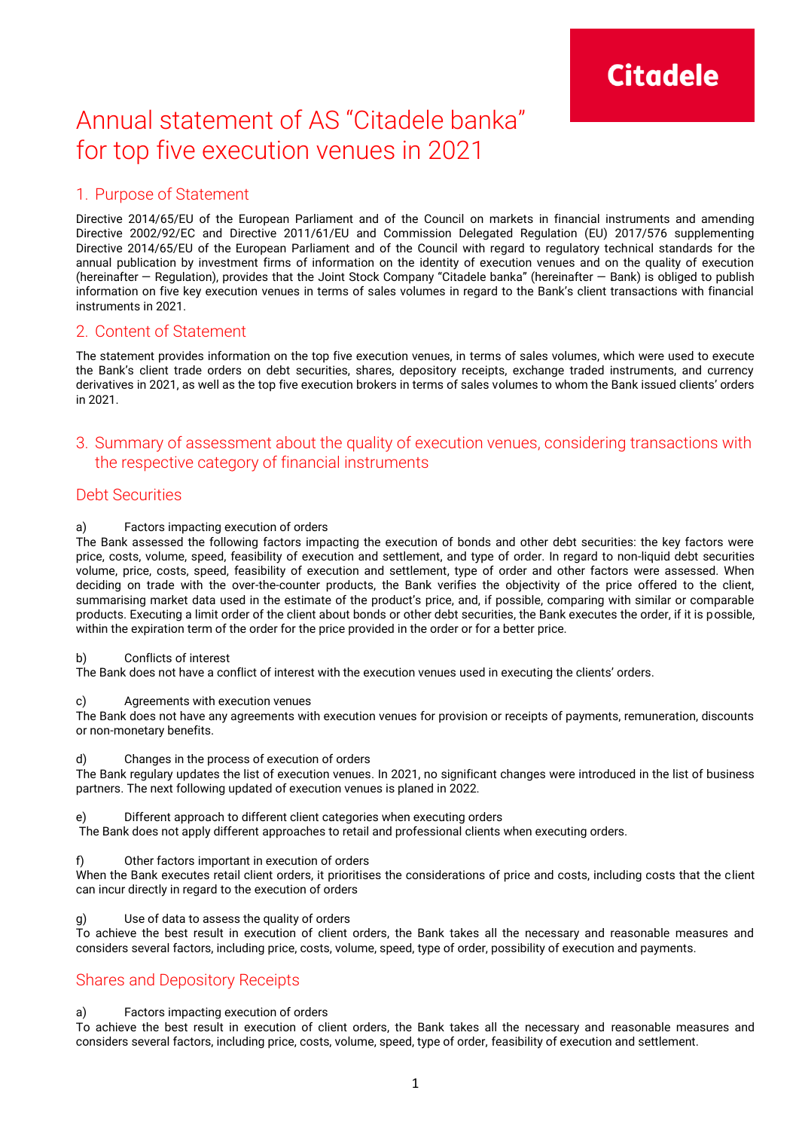## Annual statement of AS "Citadele banka" for top five execution venues in 2021

## 1. Purpose of Statement

Directive 2014/65/EU of the European Parliament and of the Council on markets in financial instruments and amending Directive 2002/92/EC and Directive 2011/61/EU and Commission Delegated Regulation (EU) 2017/576 supplementing Directive 2014/65/EU of the European Parliament and of the Council with regard to regulatory technical standards for the annual publication by investment firms of information on the identity of execution venues and on the quality of execution (hereinafter — Regulation), provides that the Joint Stock Company "Citadele banka" (hereinafter — Bank) is obliged to publish information on five key execution venues in terms of sales volumes in regard to the Bank's client transactions with financial instruments in 2021.

## 2. Content of Statement

The statement provides information on the top five execution venues, in terms of sales volumes, which were used to execute the Bank's client trade orders on debt securities, shares, depository receipts, exchange traded instruments, and currency derivatives in 2021, as well as the top five execution brokers in terms of sales volumes to whom the Bank issued clients' orders in 2021.

## 3. Summary of assessment about the quality of execution venues, considering transactions with the respective category of financial instruments

## Debt Securities

## a) Factors impacting execution of orders

The Bank assessed the following factors impacting the execution of bonds and other debt securities: the key factors were price, costs, volume, speed, feasibility of execution and settlement, and type of order. In regard to non-liquid debt securities volume, price, costs, speed, feasibility of execution and settlement, type of order and other factors were assessed. When deciding on trade with the over-the-counter products, the Bank verifies the objectivity of the price offered to the client, summarising market data used in the estimate of the product's price, and, if possible, comparing with similar or comparable products. Executing a limit order of the client about bonds or other debt securities, the Bank executes the order, if it is possible, within the expiration term of the order for the price provided in the order or for a better price.

#### b) Conflicts of interest

The Bank does not have a conflict of interest with the execution venues used in executing the clients' orders.

#### c) Agreements with execution venues

The Bank does not have any agreements with execution venues for provision or receipts of payments, remuneration, discounts or non-monetary benefits.

#### d) Changes in the process of execution of orders

The Bank regulary updates the list of execution venues. In 2021, no significant changes were introduced in the list of business partners. The next following updated of execution venues is planed in 2022.

## e) Different approach to different client categories when executing orders

The Bank does not apply different approaches to retail and professional clients when executing orders.

#### Other factors important in execution of orders

When the Bank executes retail client orders, it prioritises the considerations of price and costs, including costs that the client can incur directly in regard to the execution of orders

Use of data to assess the quality of orders

To achieve the best result in execution of client orders, the Bank takes all the necessary and reasonable measures and considers several factors, including price, costs, volume, speed, type of order, possibility of execution and payments.

## Shares and Depository Receipts

## a) Factors impacting execution of orders

To achieve the best result in execution of client orders, the Bank takes all the necessary and reasonable measures and considers several factors, including price, costs, volume, speed, type of order, feasibility of execution and settlement.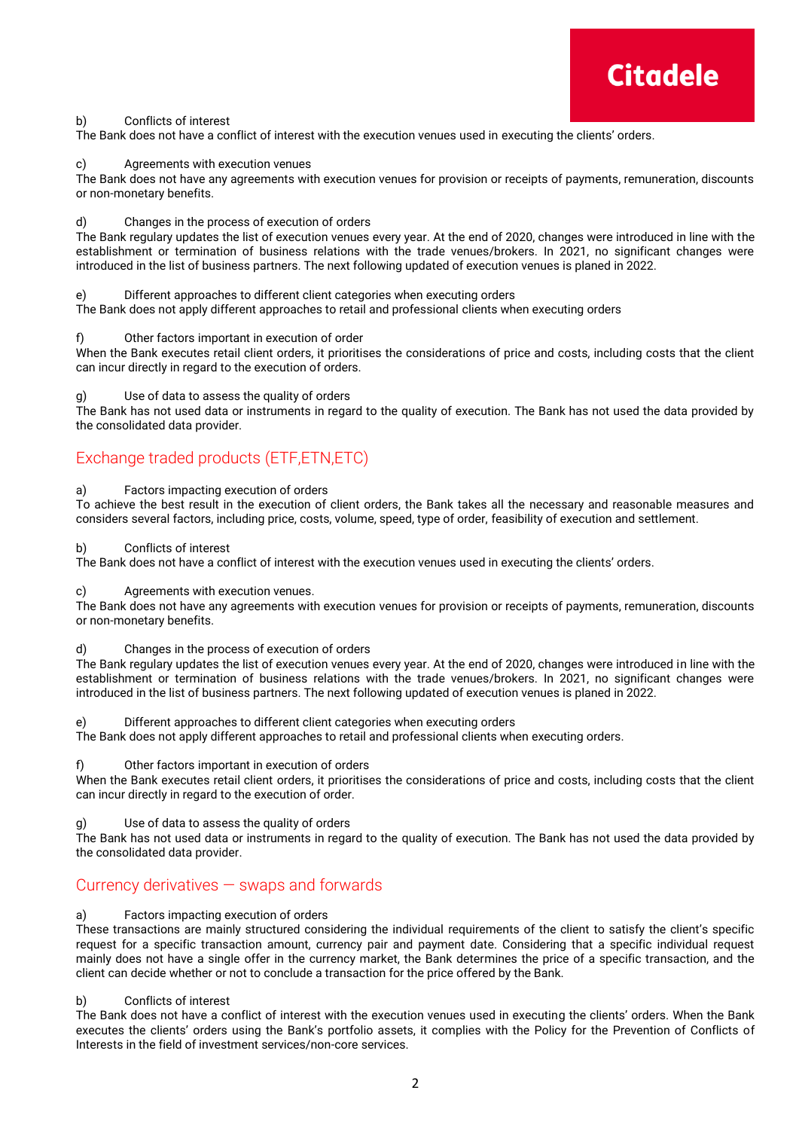# **Citadele**

## b) Conflicts of interest

The Bank does not have a conflict of interest with the execution venues used in executing the clients' orders.

## c) Agreements with execution venues

The Bank does not have any agreements with execution venues for provision or receipts of payments, remuneration, discounts or non-monetary benefits.

## d) Changes in the process of execution of orders

The Bank regulary updates the list of execution venues every year. At the end of 2020, changes were introduced in line with the establishment or termination of business relations with the trade venues/brokers. In 2021, no significant changes were introduced in the list of business partners. The next following updated of execution venues is planed in 2022.

## e) Different approaches to different client categories when executing orders

The Bank does not apply different approaches to retail and professional clients when executing orders

## f) Other factors important in execution of order

When the Bank executes retail client orders, it prioritises the considerations of price and costs, including costs that the client can incur directly in regard to the execution of orders.

## g) Use of data to assess the quality of orders

The Bank has not used data or instruments in regard to the quality of execution. The Bank has not used the data provided by the consolidated data provider.

## Exchange traded products (ETF,ETN,ETC)

## a) Factors impacting execution of orders

To achieve the best result in the execution of client orders, the Bank takes all the necessary and reasonable measures and considers several factors, including price, costs, volume, speed, type of order, feasibility of execution and settlement.

## b) Conflicts of interest

The Bank does not have a conflict of interest with the execution venues used in executing the clients' orders.

## c) Agreements with execution venues.

The Bank does not have any agreements with execution venues for provision or receipts of payments, remuneration, discounts or non-monetary benefits.

#### d) Changes in the process of execution of orders

The Bank regulary updates the list of execution venues every year. At the end of 2020, changes were introduced in line with the establishment or termination of business relations with the trade venues/brokers. In 2021, no significant changes were introduced in the list of business partners. The next following updated of execution venues is planed in 2022.

#### e) Different approaches to different client categories when executing orders

The Bank does not apply different approaches to retail and professional clients when executing orders.

#### f) Other factors important in execution of orders

When the Bank executes retail client orders, it prioritises the considerations of price and costs, including costs that the client can incur directly in regard to the execution of order.

g) Use of data to assess the quality of orders

The Bank has not used data or instruments in regard to the quality of execution. The Bank has not used the data provided by the consolidated data provider.

## Currency derivatives — swaps and forwards

## a) Factors impacting execution of orders

These transactions are mainly structured considering the individual requirements of the client to satisfy the client's specific request for a specific transaction amount, currency pair and payment date. Considering that a specific individual request mainly does not have a single offer in the currency market, the Bank determines the price of a specific transaction, and the client can decide whether or not to conclude a transaction for the price offered by the Bank.

#### b) Conflicts of interest

The Bank does not have a conflict of interest with the execution venues used in executing the clients' orders. When the Bank executes the clients' orders using the Bank's portfolio assets, it complies with the Policy for the Prevention of Conflicts of Interests in the field of investment services/non-core services.